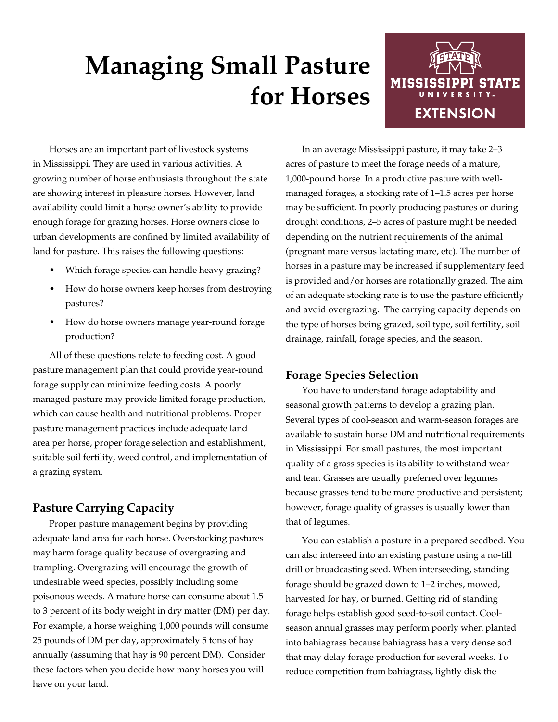# **Managing Small Pasture for Horses**



Horses are an important part of livestock systems in Mississippi. They are used in various activities. A growing number of horse enthusiasts throughout the state are showing interest in pleasure horses. However, land availability could limit a horse owner's ability to provide enough forage for grazing horses. Horse owners close to urban developments are confined by limited availability of land for pasture. This raises the following questions:

- Which forage species can handle heavy grazing?
- How do horse owners keep horses from destroying pastures?
- How do horse owners manage year-round forage production?

All of these questions relate to feeding cost. A good pasture management plan that could provide year-round forage supply can minimize feeding costs. A poorly managed pasture may provide limited forage production, which can cause health and nutritional problems. Proper pasture management practices include adequate land area per horse, proper forage selection and establishment, suitable soil fertility, weed control, and implementation of a grazing system.

# **Pasture Carrying Capacity**

Proper pasture management begins by providing adequate land area for each horse. Overstocking pastures may harm forage quality because of overgrazing and trampling. Overgrazing will encourage the growth of undesirable weed species, possibly including some poisonous weeds. A mature horse can consume about 1.5 to 3 percent of its body weight in dry matter (DM) per day. For example, a horse weighing 1,000 pounds will consume 25 pounds of DM per day, approximately 5 tons of hay annually (assuming that hay is 90 percent DM). Consider these factors when you decide how many horses you will have on your land.

In an average Mississippi pasture, it may take 2–3 acres of pasture to meet the forage needs of a mature, 1,000-pound horse. In a productive pasture with wellmanaged forages, a stocking rate of 1–1.5 acres per horse may be sufficient. In poorly producing pastures or during drought conditions, 2–5 acres of pasture might be needed depending on the nutrient requirements of the animal (pregnant mare versus lactating mare, etc). The number of horses in a pasture may be increased if supplementary feed is provided and/or horses are rotationally grazed. The aim of an adequate stocking rate is to use the pasture efficiently and avoid overgrazing. The carrying capacity depends on the type of horses being grazed, soil type, soil fertility, soil drainage, rainfall, forage species, and the season.

# **Forage Species Selection**

You have to understand forage adaptability and seasonal growth patterns to develop a grazing plan. Several types of cool-season and warm-season forages are available to sustain horse DM and nutritional requirements in Mississippi. For small pastures, the most important quality of a grass species is its ability to withstand wear and tear. Grasses are usually preferred over legumes because grasses tend to be more productive and persistent; however, forage quality of grasses is usually lower than that of legumes.

You can establish a pasture in a prepared seedbed. You can also interseed into an existing pasture using a no-till drill or broadcasting seed. When interseeding, standing forage should be grazed down to 1–2 inches, mowed, harvested for hay, or burned. Getting rid of standing forage helps establish good seed-to-soil contact. Coolseason annual grasses may perform poorly when planted into bahiagrass because bahiagrass has a very dense sod that may delay forage production for several weeks. To reduce competition from bahiagrass, lightly disk the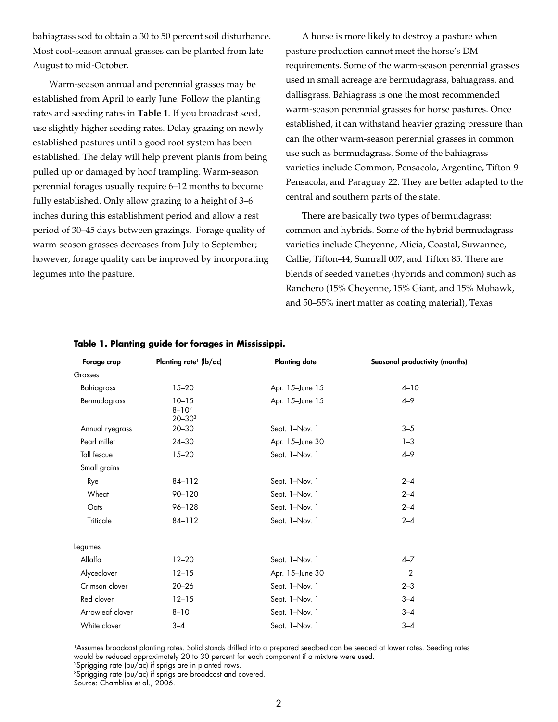bahiagrass sod to obtain a 30 to 50 percent soil disturbance. Most cool-season annual grasses can be planted from late August to mid-October.

Warm-season annual and perennial grasses may be established from April to early June. Follow the planting rates and seeding rates in **Table 1**. If you broadcast seed, use slightly higher seeding rates. Delay grazing on newly established pastures until a good root system has been established. The delay will help prevent plants from being pulled up or damaged by hoof trampling. Warm-season perennial forages usually require 6–12 months to become fully established. Only allow grazing to a height of 3–6 inches during this establishment period and allow a rest period of 30–45 days between grazings. Forage quality of warm-season grasses decreases from July to September; however, forage quality can be improved by incorporating legumes into the pasture.

A horse is more likely to destroy a pasture when pasture production cannot meet the horse's DM requirements. Some of the warm-season perennial grasses used in small acreage are bermudagrass, bahiagrass, and dallisgrass. Bahiagrass is one the most recommended warm-season perennial grasses for horse pastures. Once established, it can withstand heavier grazing pressure than can the other warm-season perennial grasses in common use such as bermudagrass. Some of the bahiagrass varieties include Common, Pensacola, Argentine, Tifton-9 Pensacola, and Paraguay 22. They are better adapted to the central and southern parts of the state.

There are basically two types of bermudagrass: common and hybrids. Some of the hybrid bermudagrass varieties include Cheyenne, Alicia, Coastal, Suwannee, Callie, Tifton-44, Sumrall 007, and Tifton 85. There are blends of seeded varieties (hybrids and common) such as Ranchero (15% Cheyenne, 15% Giant, and 15% Mohawk, and 50–55% inert matter as coating material), Texas

| Forage crop      | Planting rate <sup>1</sup> (lb/ac)    | <b>Planting date</b>       | Seasonal productivity (months) |
|------------------|---------------------------------------|----------------------------|--------------------------------|
| Grasses          |                                       |                            |                                |
| Bahiagrass       | $15 - 20$                             | Apr. 15-June 15            | $4 - 10$                       |
| Bermudagrass     | $10 - 15$<br>$8 - 10^2$<br>$20 - 303$ | $4 - 9$<br>Apr. 15-June 15 |                                |
| Annual ryegrass  | $20 - 30$                             | Sept. 1-Nov. 1             | $3 - 5$                        |
| Pearl millet     | $24 - 30$                             | Apr. 15-June 30            | $1 - 3$                        |
| Tall fescue      | $15 - 20$                             | Sept. 1-Nov. 1             | $4 - 9$                        |
| Small grains     |                                       |                            |                                |
| Rye              | 84-112                                | Sept. 1-Nov. 1             | $2 - 4$                        |
| Wheat            | 90-120                                | Sept. 1-Nov. 1             | $2 - 4$                        |
| Oats             | $96 - 128$                            | Sept. 1-Nov. 1             | $2 - 4$                        |
| Triticale        | 84-112                                | Sept. 1-Nov. 1             | $2 - 4$                        |
| Legumes          |                                       |                            |                                |
| Alfalfa          | $12 - 20$                             | Sept. 1-Nov. 1             | $4 - 7$                        |
| Alyceclover      | $12 - 15$                             | Apr. 15-June 30            | $\overline{2}$                 |
| Crimson clover   | $20 - 26$                             | Sept. 1-Nov. 1             | $2 - 3$                        |
| Red clover       | $12 - 15$                             | Sept. 1-Nov. 1             | $3 - 4$                        |
| Arrowleaf clover | $8 - 10$                              | Sept. 1-Nov. 1             | $3 - 4$                        |
| White clover     | $3 - 4$                               | Sept. 1-Nov. 1             | $3 - 4$                        |

#### **Table 1. Planting guide for forages in Mississippi.**

1Assumes broadcast planting rates. Solid stands drilled into a prepared seedbed can be seeded at lower rates. Seeding rates would be reduced approximately 20 to 30 percent for each component if a mixture were used. 2Sprigging rate (bu/ac) if sprigs are in planted rows.

<sup>3</sup>Sprigging rate (bu/ac) if sprigs are broadcast and covered.

Source: Chambliss et al., 2006.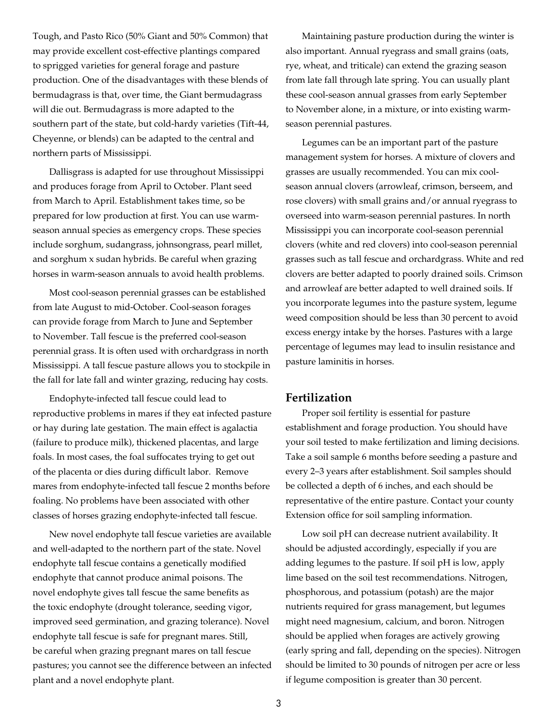Tough, and Pasto Rico (50% Giant and 50% Common) that may provide excellent cost-effective plantings compared to sprigged varieties for general forage and pasture production. One of the disadvantages with these blends of bermudagrass is that, over time, the Giant bermudagrass will die out. Bermudagrass is more adapted to the southern part of the state, but cold-hardy varieties (Tift-44, Cheyenne, or blends) can be adapted to the central and northern parts of Mississippi.

Dallisgrass is adapted for use throughout Mississippi and produces forage from April to October. Plant seed from March to April. Establishment takes time, so be prepared for low production at first. You can use warmseason annual species as emergency crops. These species include sorghum, sudangrass, johnsongrass, pearl millet, and sorghum x sudan hybrids. Be careful when grazing horses in warm-season annuals to avoid health problems.

Most cool-season perennial grasses can be established from late August to mid-October. Cool-season forages can provide forage from March to June and September to November. Tall fescue is the preferred cool-season perennial grass. It is often used with orchardgrass in north Mississippi. A tall fescue pasture allows you to stockpile in the fall for late fall and winter grazing, reducing hay costs.

Endophyte-infected tall fescue could lead to reproductive problems in mares if they eat infected pasture or hay during late gestation. The main effect is agalactia (failure to produce milk), thickened placentas, and large foals. In most cases, the foal suffocates trying to get out of the placenta or dies during difficult labor. Remove mares from endophyte-infected tall fescue 2 months before foaling. No problems have been associated with other classes of horses grazing endophyte-infected tall fescue.

New novel endophyte tall fescue varieties are available and well-adapted to the northern part of the state. Novel endophyte tall fescue contains a genetically modified endophyte that cannot produce animal poisons. The novel endophyte gives tall fescue the same benefits as the toxic endophyte (drought tolerance, seeding vigor, improved seed germination, and grazing tolerance). Novel endophyte tall fescue is safe for pregnant mares. Still, be careful when grazing pregnant mares on tall fescue pastures; you cannot see the difference between an infected plant and a novel endophyte plant.

Maintaining pasture production during the winter is also important. Annual ryegrass and small grains (oats, rye, wheat, and triticale) can extend the grazing season from late fall through late spring. You can usually plant these cool-season annual grasses from early September to November alone, in a mixture, or into existing warmseason perennial pastures.

Legumes can be an important part of the pasture management system for horses. A mixture of clovers and grasses are usually recommended. You can mix coolseason annual clovers (arrowleaf, crimson, berseem, and rose clovers) with small grains and/or annual ryegrass to overseed into warm-season perennial pastures. In north Mississippi you can incorporate cool-season perennial clovers (white and red clovers) into cool-season perennial grasses such as tall fescue and orchardgrass. White and red clovers are better adapted to poorly drained soils. Crimson and arrowleaf are better adapted to well drained soils. If you incorporate legumes into the pasture system, legume weed composition should be less than 30 percent to avoid excess energy intake by the horses. Pastures with a large percentage of legumes may lead to insulin resistance and pasture laminitis in horses.

## **Fertilization**

Proper soil fertility is essential for pasture establishment and forage production. You should have your soil tested to make fertilization and liming decisions. Take a soil sample 6 months before seeding a pasture and every 2–3 years after establishment. Soil samples should be collected a depth of 6 inches, and each should be representative of the entire pasture. Contact your county Extension office for soil sampling information.

Low soil pH can decrease nutrient availability. It should be adjusted accordingly, especially if you are adding legumes to the pasture. If soil pH is low, apply lime based on the soil test recommendations. Nitrogen, phosphorous, and potassium (potash) are the major nutrients required for grass management, but legumes might need magnesium, calcium, and boron. Nitrogen should be applied when forages are actively growing (early spring and fall, depending on the species). Nitrogen should be limited to 30 pounds of nitrogen per acre or less if legume composition is greater than 30 percent.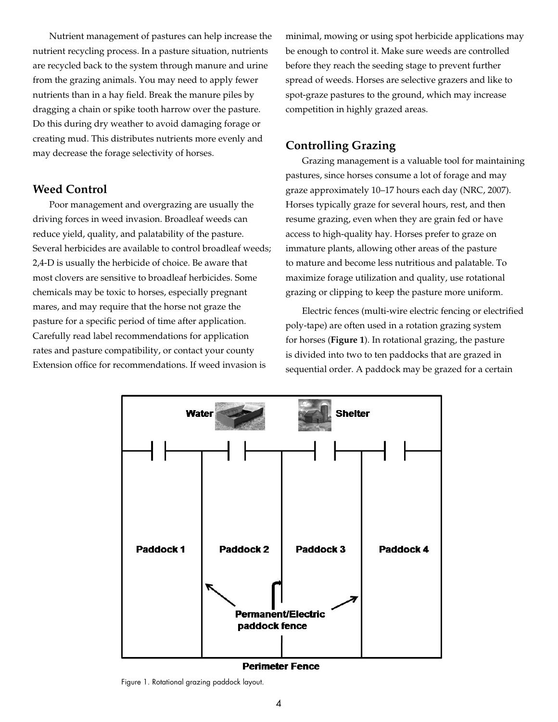Nutrient management of pastures can help increase the nutrient recycling process. In a pasture situation, nutrients are recycled back to the system through manure and urine from the grazing animals. You may need to apply fewer nutrients than in a hay field. Break the manure piles by dragging a chain or spike tooth harrow over the pasture. Do this during dry weather to avoid damaging forage or creating mud. This distributes nutrients more evenly and may decrease the forage selectivity of horses.

# **Weed Control**

Poor management and overgrazing are usually the driving forces in weed invasion. Broadleaf weeds can reduce yield, quality, and palatability of the pasture. Several herbicides are available to control broadleaf weeds; 2,4-D is usually the herbicide of choice. Be aware that most clovers are sensitive to broadleaf herbicides. Some chemicals may be toxic to horses, especially pregnant mares, and may require that the horse not graze the pasture for a specific period of time after application. Carefully read label recommendations for application rates and pasture compatibility, or contact your county Extension office for recommendations. If weed invasion is

minimal, mowing or using spot herbicide applications may be enough to control it. Make sure weeds are controlled before they reach the seeding stage to prevent further spread of weeds. Horses are selective grazers and like to spot-graze pastures to the ground, which may increase competition in highly grazed areas.

# **Controlling Grazing**

Grazing management is a valuable tool for maintaining pastures, since horses consume a lot of forage and may graze approximately 10–17 hours each day (NRC, 2007). Horses typically graze for several hours, rest, and then resume grazing, even when they are grain fed or have access to high-quality hay. Horses prefer to graze on immature plants, allowing other areas of the pasture to mature and become less nutritious and palatable. To maximize forage utilization and quality, use rotational grazing or clipping to keep the pasture more uniform.

Electric fences (multi-wire electric fencing or electrified poly-tape) are often used in a rotation grazing system for horses (**Figure 1**). In rotational grazing, the pasture is divided into two to ten paddocks that are grazed in sequential order. A paddock may be grazed for a certain



**Perimeter Fence** 

Figure 1. Rotational grazing paddock layout.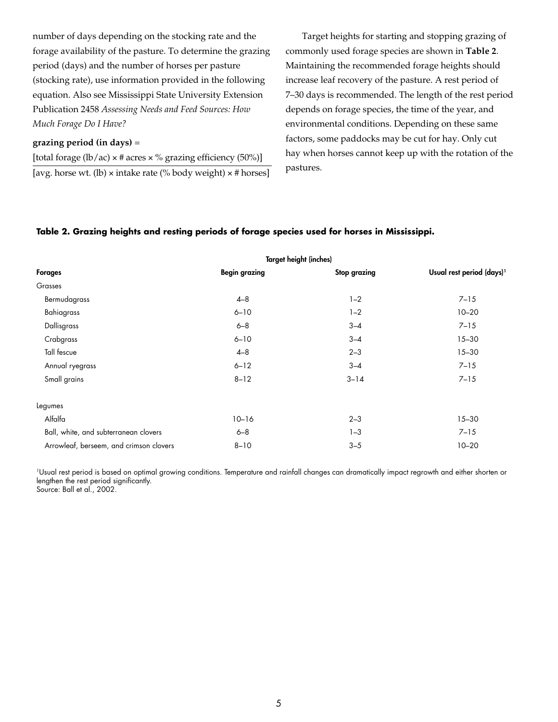number of days depending on the stocking rate and the forage availability of the pasture. To determine the grazing period (days) and the number of horses per pasture (stocking rate), use information provided in the following equation. Also see Mississippi State University Extension Publication 2458 *Assessing Needs and Feed Sources: How Much Forage Do I Have?*

### **grazing period (in days)** =

[total forage (lb/ac)  $\times$  # acres  $\times$  % grazing efficiency (50%)] [avg. horse wt. (lb)  $\times$  intake rate (% body weight)  $\times$  # horses]

Target heights for starting and stopping grazing of commonly used forage species are shown in **Table 2**. Maintaining the recommended forage heights should increase leaf recovery of the pasture. A rest period of 7–30 days is recommended. The length of the rest period depends on forage species, the time of the year, and environmental conditions. Depending on these same factors, some paddocks may be cut for hay. Only cut hay when horses cannot keep up with the rotation of the pastures.

#### **Table 2. Grazing heights and resting periods of forage species used for horses in Mississippi.**

|                                         | <b>Target height (inches)</b> |                     |                                       |
|-----------------------------------------|-------------------------------|---------------------|---------------------------------------|
| <b>Forages</b>                          | <b>Begin grazing</b>          | <b>Stop grazing</b> | Usual rest period (days) <sup>1</sup> |
| Grasses                                 |                               |                     |                                       |
| Bermudagrass                            | $4 - 8$                       | $1 - 2$             | $7 - 15$                              |
| Bahiagrass                              | $6 - 10$                      | $1 - 2$             | $10 - 20$                             |
| Dallisgrass                             | $6 - 8$                       | $3 - 4$             | $7 - 15$                              |
| Crabgrass                               | $6 - 10$                      | $3 - 4$             | $15 - 30$                             |
| Tall fescue                             | $4 - 8$                       | $2 - 3$             | $15 - 30$                             |
| Annual ryegrass                         | $6 - 12$                      | $3 - 4$             | $7 - 15$                              |
| Small grains                            | $8 - 12$                      | $3 - 14$            | $7 - 15$                              |
| Legumes                                 |                               |                     |                                       |
| Alfalfa                                 | $10 - 16$                     | $2 - 3$             | $15 - 30$                             |
| Ball, white, and subterranean clovers   | $6 - 8$                       | $1 - 3$             | $7 - 15$                              |
| Arrowleaf, berseem, and crimson clovers | $8 - 10$                      | $3 - 5$             | $10 - 20$                             |

1Usual rest period is based on optimal growing conditions. Temperature and rainfall changes can dramatically impact regrowth and either shorten or lengthen the rest period significantly. Source: Ball et al., 2002.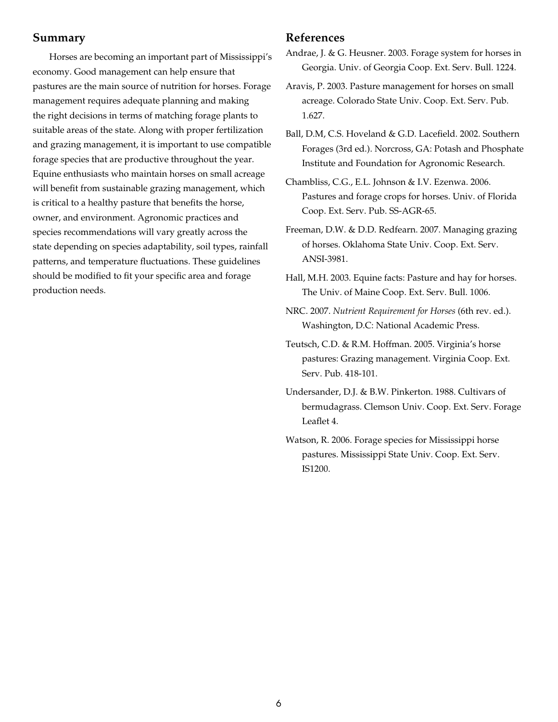## **Summary**

Horses are becoming an important part of Mississippi's economy. Good management can help ensure that pastures are the main source of nutrition for horses. Forage management requires adequate planning and making the right decisions in terms of matching forage plants to suitable areas of the state. Along with proper fertilization and grazing management, it is important to use compatible forage species that are productive throughout the year. Equine enthusiasts who maintain horses on small acreage will benefit from sustainable grazing management, which is critical to a healthy pasture that benefits the horse, owner, and environment. Agronomic practices and species recommendations will vary greatly across the state depending on species adaptability, soil types, rainfall patterns, and temperature fluctuations. These guidelines should be modified to fit your specific area and forage production needs.

## **References**

Andrae, J. & G. Heusner. 2003. Forage system for horses in Georgia. Univ. of Georgia Coop. Ext. Serv. Bull. 1224.

- Aravis, P. 2003. Pasture management for horses on small acreage. Colorado State Univ. Coop. Ext. Serv. Pub. 1.627.
- Ball, D.M, C.S. Hoveland & G.D. Lacefield. 2002. Southern Forages (3rd ed.). Norcross, GA: Potash and Phosphate Institute and Foundation for Agronomic Research.
- Chambliss, C.G., E.L. Johnson & I.V. Ezenwa. 2006. Pastures and forage crops for horses. Univ. of Florida Coop. Ext. Serv. Pub. SS-AGR-65.
- Freeman, D.W. & D.D. Redfearn. 2007. Managing grazing of horses. Oklahoma State Univ. Coop. Ext. Serv. ANSI-3981.
- Hall, M.H. 2003. Equine facts: Pasture and hay for horses. The Univ. of Maine Coop. Ext. Serv. Bull. 1006.
- NRC. 2007. *Nutrient Requirement for Horses* (6th rev. ed.). Washington, D.C: National Academic Press.
- Teutsch, C.D. & R.M. Hoffman. 2005. Virginia's horse pastures: Grazing management. Virginia Coop. Ext. Serv. Pub. 418-101.
- Undersander, D.J. & B.W. Pinkerton. 1988. Cultivars of bermudagrass. Clemson Univ. Coop. Ext. Serv. Forage Leaflet 4.
- Watson, R. 2006. Forage species for Mississippi horse pastures. Mississippi State Univ. Coop. Ext. Serv. IS1200.